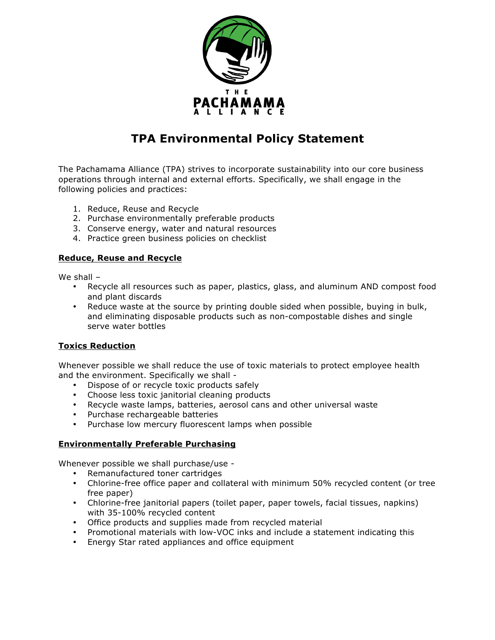

# **TPA Environmental Policy Statement**

The Pachamama Alliance (TPA) strives to incorporate sustainability into our core business operations through internal and external efforts. Specifically, we shall engage in the following policies and practices:

- 1. Reduce, Reuse and Recycle
- 2. Purchase environmentally preferable products
- 3. Conserve energy, water and natural resources
- 4. Practice green business policies on checklist

## **Reduce, Reuse and Recycle**

We shall –

- Recycle all resources such as paper, plastics, glass, and aluminum AND compost food and plant discards
- Reduce waste at the source by printing double sided when possible, buying in bulk, and eliminating disposable products such as non-compostable dishes and single serve water bottles

## **Toxics Reduction**

Whenever possible we shall reduce the use of toxic materials to protect employee health and the environment. Specifically we shall -

- Dispose of or recycle toxic products safely
- Choose less toxic janitorial cleaning products
- Recycle waste lamps, batteries, aerosol cans and other universal waste
- Purchase rechargeable batteries
- Purchase low mercury fluorescent lamps when possible

## **Environmentally Preferable Purchasing**

Whenever possible we shall purchase/use -

- Remanufactured toner cartridges
- Chlorine-free office paper and collateral with minimum 50% recycled content (or tree free paper)
- Chlorine-free janitorial papers (toilet paper, paper towels, facial tissues, napkins) with 35-100% recycled content
- Office products and supplies made from recycled material
- Promotional materials with low-VOC inks and include a statement indicating this
- Energy Star rated appliances and office equipment